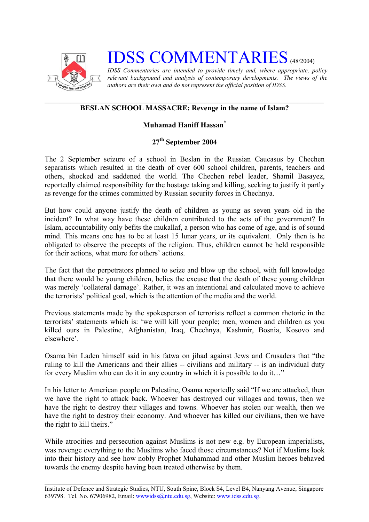

## **IDSS COMMENTARIES** (48/2004)

*IDSS Commentaries are intended to provide timely and, where appropriate, policy relevant background and analysis of contemporary developments. The views of the authors are their own and do not represent the official position of IDSS.* 

## **BESLAN SCHOOL MASSACRE: Revenge in the name of Islam?**

## **Muhamad Haniff Hassa[n\\*](#page-2-0)**

## **27th September 2004**

The 2 September seizure of a school in Beslan in the Russian Caucasus by Chechen separatists which resulted in the death of over 600 school children, parents, teachers and others, shocked and saddened the world. The Chechen rebel leader, Shamil Basayez, reportedly claimed responsibility for the hostage taking and killing, seeking to justify it partly as revenge for the crimes committed by Russian security forces in Chechnya.

But how could anyone justify the death of children as young as seven years old in the incident? In what way have these children contributed to the acts of the government? In Islam, accountability only befits the mukallaf, a person who has come of age, and is of sound mind. This means one has to be at least 15 lunar years, or its equivalent. Only then is he obligated to observe the precepts of the religion. Thus, children cannot be held responsible for their actions, what more for others' actions.

The fact that the perpetrators planned to seize and blow up the school, with full knowledge that there would be young children, belies the excuse that the death of these young children was merely 'collateral damage'. Rather, it was an intentional and calculated move to achieve the terrorists' political goal, which is the attention of the media and the world.

Previous statements made by the spokesperson of terrorists reflect a common rhetoric in the terrorists' statements which is: 'we will kill your people; men, women and children as you killed ours in Palestine, Afghanistan, Iraq, Chechnya, Kashmir, Bosnia, Kosovo and elsewhere'.

Osama bin Laden himself said in his fatwa on jihad against Jews and Crusaders that "the ruling to kill the Americans and their allies -- civilians and military -- is an individual duty for every Muslim who can do it in any country in which it is possible to do it…"

In his letter to American people on Palestine, Osama reportedly said "If we are attacked, then we have the right to attack back. Whoever has destroyed our villages and towns, then we have the right to destroy their villages and towns. Whoever has stolen our wealth, then we have the right to destroy their economy. And whoever has killed our civilians, then we have the right to kill theirs."

While atrocities and persecution against Muslims is not new e.g. by European imperialists, was revenge everything to the Muslims who faced those circumstances? Not if Muslims look into their history and see how nobly Prophet Muhammad and other Muslim heroes behaved towards the enemy despite having been treated otherwise by them.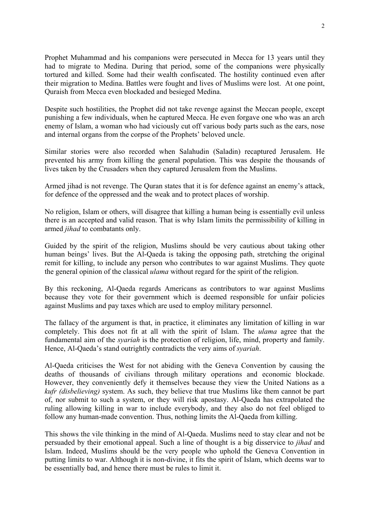Prophet Muhammad and his companions were persecuted in Mecca for 13 years until they had to migrate to Medina. During that period, some of the companions were physically tortured and killed. Some had their wealth confiscated. The hostility continued even after their migration to Medina. Battles were fought and lives of Muslims were lost. At one point, Quraish from Mecca even blockaded and besieged Medina.

Despite such hostilities, the Prophet did not take revenge against the Meccan people, except punishing a few individuals, when he captured Mecca. He even forgave one who was an arch enemy of Islam, a woman who had viciously cut off various body parts such as the ears, nose and internal organs from the corpse of the Prophets' beloved uncle.

Similar stories were also recorded when Salahudin (Saladin) recaptured Jerusalem. He prevented his army from killing the general population. This was despite the thousands of lives taken by the Crusaders when they captured Jerusalem from the Muslims.

Armed jihad is not revenge. The Quran states that it is for defence against an enemy's attack, for defence of the oppressed and the weak and to protect places of worship.

No religion, Islam or others, will disagree that killing a human being is essentially evil unless there is an accepted and valid reason. That is why Islam limits the permissibility of killing in armed *jihad* to combatants only.

Guided by the spirit of the religion, Muslims should be very cautious about taking other human beings' lives. But the Al-Qaeda is taking the opposing path, stretching the original remit for killing, to include any person who contributes to war against Muslims. They quote the general opinion of the classical *ulama* without regard for the spirit of the religion.

By this reckoning, Al-Qaeda regards Americans as contributors to war against Muslims because they vote for their government which is deemed responsible for unfair policies against Muslims and pay taxes which are used to employ military personnel.

The fallacy of the argument is that, in practice, it eliminates any limitation of killing in war completely. This does not fit at all with the spirit of Islam. The *ulama* agree that the fundamental aim of the *syariah* is the protection of religion, life, mind, property and family. Hence, Al-Qaeda's stand outrightly contradicts the very aims of *syariah*.

Al-Qaeda criticises the West for not abiding with the Geneva Convention by causing the deaths of thousands of civilians through military operations and economic blockade. However, they conveniently defy it themselves because they view the United Nations as a *kufr (disbelieving)* system. As such, they believe that true Muslims like them cannot be part of, nor submit to such a system, or they will risk apostasy. Al-Qaeda has extrapolated the ruling allowing killing in war to include everybody, and they also do not feel obliged to follow any human-made convention. Thus, nothing limits the Al-Qaeda from killing.

This shows the vile thinking in the mind of Al-Qaeda. Muslims need to stay clear and not be persuaded by their emotional appeal. Such a line of thought is a big disservice to *jihad* and Islam. Indeed, Muslims should be the very people who uphold the Geneva Convention in putting limits to war. Although it is non-divine, it fits the spirit of Islam, which deems war to be essentially bad, and hence there must be rules to limit it.